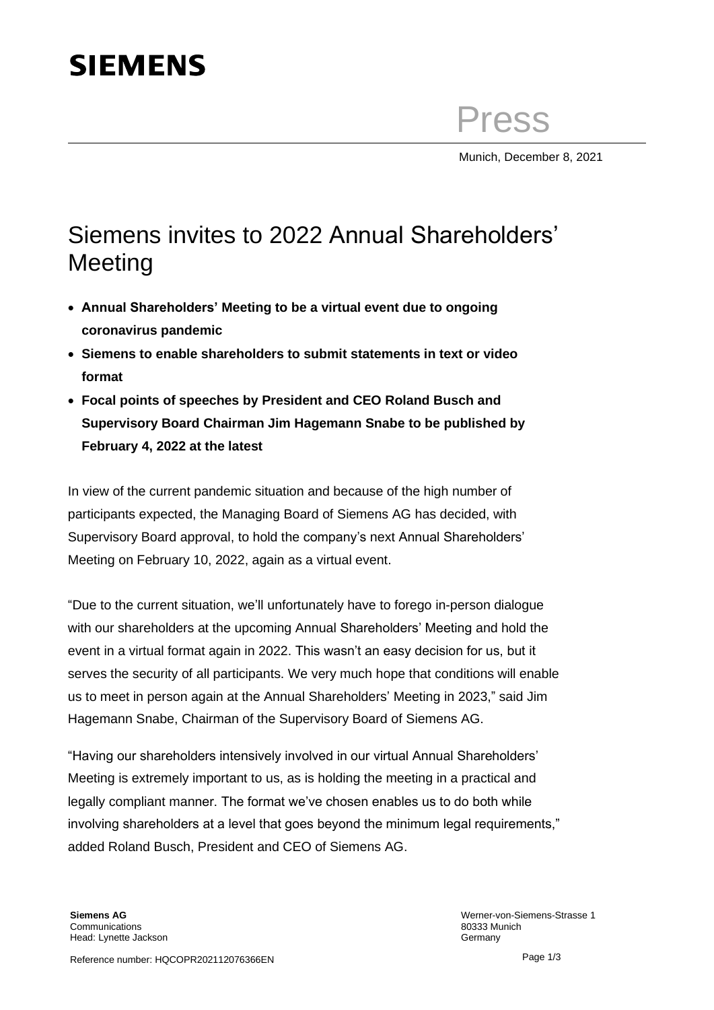## **SIEMENS**

Press

Munich, December 8, 2021

## Siemens invites to 2022 Annual Shareholders' **Meeting**

- **Annual Shareholders' Meeting to be a virtual event due to ongoing coronavirus pandemic**
- **Siemens to enable shareholders to submit statements in text or video format**
- **Focal points of speeches by President and CEO Roland Busch and Supervisory Board Chairman Jim Hagemann Snabe to be published by February 4, 2022 at the latest**

In view of the current pandemic situation and because of the high number of participants expected, the Managing Board of Siemens AG has decided, with Supervisory Board approval, to hold the company's next Annual Shareholders' Meeting on February 10, 2022, again as a virtual event.

"Due to the current situation, we'll unfortunately have to forego in-person dialogue with our shareholders at the upcoming Annual Shareholders' Meeting and hold the event in a virtual format again in 2022. This wasn't an easy decision for us, but it serves the security of all participants. We very much hope that conditions will enable us to meet in person again at the Annual Shareholders' Meeting in 2023," said Jim Hagemann Snabe, Chairman of the Supervisory Board of Siemens AG.

"Having our shareholders intensively involved in our virtual Annual Shareholders' Meeting is extremely important to us, as is holding the meeting in a practical and legally compliant manner. The format we've chosen enables us to do both while involving shareholders at a level that goes beyond the minimum legal requirements," added Roland Busch, President and CEO of Siemens AG.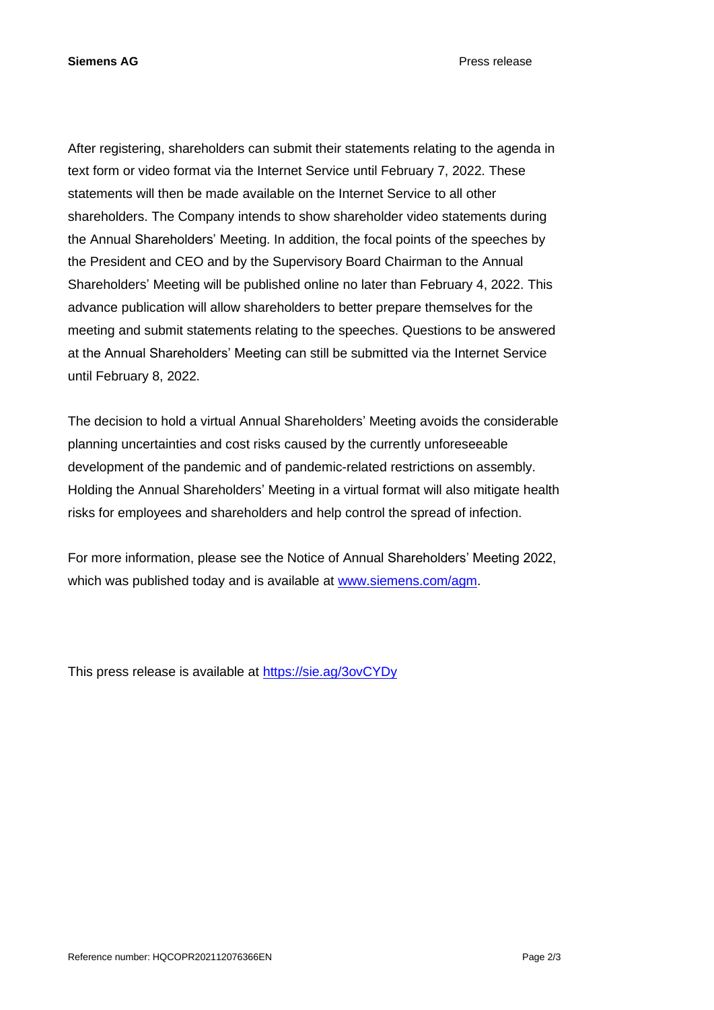After registering, shareholders can submit their statements relating to the agenda in text form or video format via the Internet Service until February 7, 2022. These statements will then be made available on the Internet Service to all other shareholders. The Company intends to show shareholder video statements during the Annual Shareholders' Meeting. In addition, the focal points of the speeches by the President and CEO and by the Supervisory Board Chairman to the Annual Shareholders' Meeting will be published online no later than February 4, 2022. This advance publication will allow shareholders to better prepare themselves for the meeting and submit statements relating to the speeches. Questions to be answered at the Annual Shareholders' Meeting can still be submitted via the Internet Service until February 8, 2022.

The decision to hold a virtual Annual Shareholders' Meeting avoids the considerable planning uncertainties and cost risks caused by the currently unforeseeable development of the pandemic and of pandemic-related restrictions on assembly. Holding the Annual Shareholders' Meeting in a virtual format will also mitigate health risks for employees and shareholders and help control the spread of infection.

For more information, please see the Notice of Annual Shareholders' Meeting 2022, which was published today and is available at [www.siemens.com/agm.](http://www.siemens.com/agm)

This press release is available at<https://sie.ag/3ovCYDy>